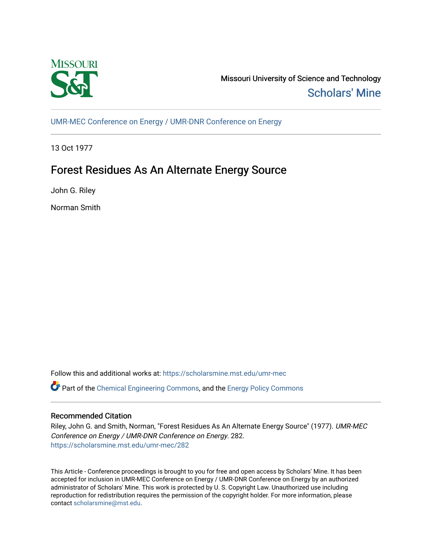

Missouri University of Science and Technology [Scholars' Mine](https://scholarsmine.mst.edu/) 

[UMR-MEC Conference on Energy / UMR-DNR Conference on Energy](https://scholarsmine.mst.edu/umr-mec)

13 Oct 1977

# Forest Residues As An Alternate Energy Source

John G. Riley

Norman Smith

Follow this and additional works at: [https://scholarsmine.mst.edu/umr-mec](https://scholarsmine.mst.edu/umr-mec?utm_source=scholarsmine.mst.edu%2Fumr-mec%2F282&utm_medium=PDF&utm_campaign=PDFCoverPages) 

Part of the [Chemical Engineering Commons](http://network.bepress.com/hgg/discipline/240?utm_source=scholarsmine.mst.edu%2Fumr-mec%2F282&utm_medium=PDF&utm_campaign=PDFCoverPages), and the [Energy Policy Commons](http://network.bepress.com/hgg/discipline/1065?utm_source=scholarsmine.mst.edu%2Fumr-mec%2F282&utm_medium=PDF&utm_campaign=PDFCoverPages)

# Recommended Citation

Riley, John G. and Smith, Norman, "Forest Residues As An Alternate Energy Source" (1977). UMR-MEC Conference on Energy / UMR-DNR Conference on Energy. 282. [https://scholarsmine.mst.edu/umr-mec/282](https://scholarsmine.mst.edu/umr-mec/282?utm_source=scholarsmine.mst.edu%2Fumr-mec%2F282&utm_medium=PDF&utm_campaign=PDFCoverPages) 

This Article - Conference proceedings is brought to you for free and open access by Scholars' Mine. It has been accepted for inclusion in UMR-MEC Conference on Energy / UMR-DNR Conference on Energy by an authorized administrator of Scholars' Mine. This work is protected by U. S. Copyright Law. Unauthorized use including reproduction for redistribution requires the permission of the copyright holder. For more information, please contact [scholarsmine@mst.edu](mailto:scholarsmine@mst.edu).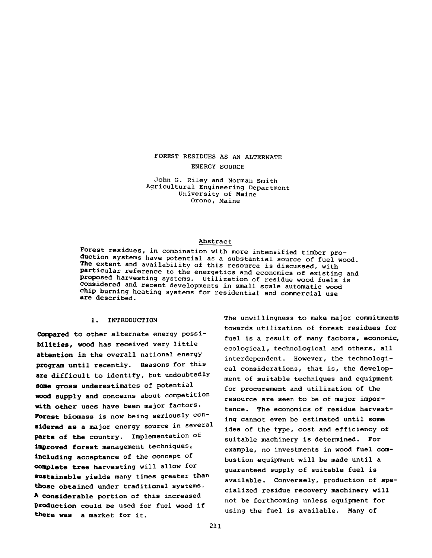## FOREST RESIDUES AS AN ALTERNATE ENERGY SOURCE

**John G. Riley and Norman Smith Agricultural Engineering Department University of Maine Orono, Maine**

#### **Abstract**

**Forest residues, in combination with more intensified timber production systems have potential as a substantial source of fuel wood. The extent and availability of this resource is discussed, with particular reference to the energetics and economics of existing and proposed harvesting systems. Utilization of residue wood fuels is considered and recent developments in small scale automatic wood chip burning heating systems for residential and commercial use are described.**

#### **1. INTRODUCTION**

**Compared to other alternate energy possibilities, wood has received very little attention in the overall national energy program until recently. Reasons for this are difficult to identify, but undoubtedly some gross underestimates of potential wood supply and concerns about competition with other uses have been major factors. Forest biomass is now being seriously considered as a major energy source in several parts of the country. Implementation of improved forest management techniques, including acceptance of the concept of complete tree harvesting will allow for sustainable yields many times greater than those obtained under traditional systems. A considerable portion of this increased Production could be used for fuel wood if there was a market for it.**

**The unwillingness to make major commitments towards utilization of forest residues for fuel is a result of many factors, economic, ecological, technological and others, all interdependent. However, the technological considerations, that is, the development of suitable techniques and equipment for procurement and utilization of the resource are seen to be of major importance. The economics of residue harvesting cannot even be estimated until some idea of the type, cost and efficiency of suitable machinery is determined. For example, no investments in wood fuel combustion equipment will be made until a guaranteed supply of suitable fuel is available. Conversely, production of specialized residue recovery machinery will not be forthcoming unless equipment for using the fuel is available. Many of**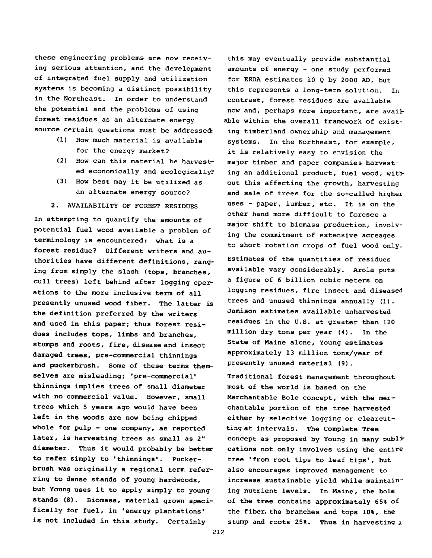**these engineering problems are now receiving serious attention, and the development of integrated fuel supply and utilization systems is becoming a distinct possibility in the Northeast. In order to understand the potential and the problems of using forest residues as an alternate energy source certain questions must be addressed:**

- **(1) How much material is available for the energy market?**
- **(2) How can this material be harvested economically and ecologically?**
- **(3) How best may it be utilized as an alternate energy source?**
- **2. AVAILABILITY OF FOREST RESIDUES**

**In attempting to quantify the amounts of potential fuel wood available a problem of terminology is encountered: what is a forest residue? Different writers and authorities have different definitions, ranging from simply the slash (tops, branches, cull trees) left behind after logging operations to the more inclusive term of all presently unused wood fiber. The latter is the definition preferred by the writers and used in this paper; thus forest residues includes tops, limbs and branches, stumps and roots, fire, disease and insect damaged trees, pre-commercial thinnings and puckerbrush. Some of these terms themselves are misleading; 'pre-commercial' thinnings implies trees of small diameter with no commercial value. However, small trees which 5 years ago would have been left in the woods are now being chipped whole for pulp - one company, as reported later, is harvesting trees as small as 2" diameter. Thus it would probably be better to refer simply to 'thinnings'. Puckerbrush was originally a regional term referring to dense stands of young hardwoods, but Young uses it to apply simply to young stands (8). Biomass, material grown specifically for fuel, in 'energy plantations' is not included in this study. Certainly**

**this may eventually provide substantial amounts of energy - one study performed for ERDA estimates 10 Q by 2000 AD, but this represents a long-term solution. In contrast, forest residues are available now and, perhaps more important, are available within the overall framework of existing timberland ownership and management systems. In the Northeast, for example, it is relatively easy to envision the major timber and paper companies harvesting an additional product, fuel wood, without this affecting the growth, harvesting and sale of trees for the so-called higher uses - paper, lumber, etc. It is on the other hand more difficult to foresee a major shift to biomass production, involving the commitment of extensive acreages to short rotation crops of fuel wood only.**

**Estimates of the quantities of residues available vary considerably. Arola puts a figure of 6 billion cubic meters on logging residues, fire insect and diseased trees and unused thinnings annually (1). Jamison estimates available unharvested residues in the U.S. at greater than 120 million dry tons per year (4). In the State of Maine alone, Young estimates approximately 13 million tons/year of presently unused material (9).**

**Traditional forest management throughout most of the world is based on the Merchantable Bole concept, with the merchantable portion of the tree harvested either by selective logging or clearcutting at intervals. The Complete Tree** concept as proposed by Young in many publ<sup>i-</sup> **cations not only involves using the entire tree 'from root tips to leaf tips', but also encourages improved management to increase sustainable yield while maintaining nutrient levels. In Maine, the bole of the tree contains approximately 65% of the fiber, the branches and tops 10%, the stump and roots 25%. Thus in harvesting ^**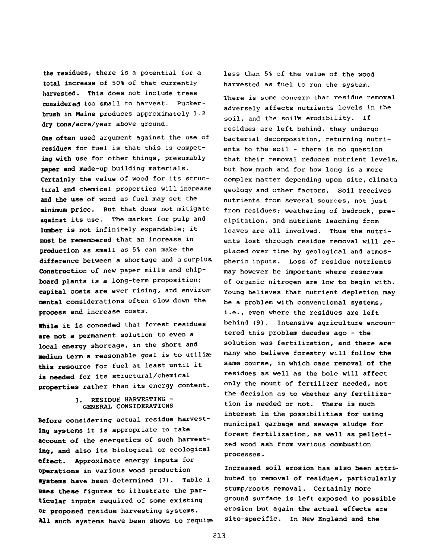**the residues, there is a potential for a total increase of 50% of that currently harvested. This does not include trees considered too small to harvest. Puckerbrush in Maine produces approximately 1.2 dry tons/acre/year above ground.**

**One often used argument against the use of residues for fuel is that this is competing with use for other things, presumably paper and made-up building materials. Certainly the value of wood for its structural and chemical properties will increase and the use of wood as fuel may set the minimum price. But that does not mitigate against its use. The market for pulp and lumber is not infinitely expandable; it must be remembered that an increase in production as small as 5% can make the difference between a shortage and a surplus. Construction of new paper mills and chipboard plants is a long-term proposition; capital costs are ever rising, and environmental considerations often slow down the process and increase costs.**

**While it is conceded that forest residues are not a permanent solution to even a local energy shortage, in the short and medium term a reasonable goal is to utilize this resource for fuel at least until it is needed for its structural/chemical properties rather than its energy content.**

## **3. RESIDUE HARVESTING - GENERAL CONSIDERATIONS**

**Before considering actual residue harvesting systems it is appropriate to take account of the energetics of such harvesting, and also its biological or ecological effect. Approximate energy inputs for operations in various wood production systems have been determined (7). Table I uses these figures to illustrate the particular inputs required of some existing or proposed residue harvesting systems. All such systems have been shown to requite** **less than 5% of the value of the wood harvested as fuel to run the system. There is some concern that residue removal adversely affects nutrients levels in the soil, and the soil's erodibility. If residues are left behind, they undergo bacterial decomposition, returning nutrients to the soil - there is no question that their removal reduces nutrient levels, but how much and for how long is a more complex matter depending upon site, climate geology and other factors. Soil receives nutrients from several sources, not just from residues; weathering of bedrock, precipitation, and nutrient leaching from leaves are all involved. Thus the nutrients lost through residue removal will replaced over time by geological and atmospheric inputs. Loss of residue nutrients may however be important where reserves of organic nitrogen are low to begin with. Young believes that nutrient depletion may be a problem with conventional systems, i.e., even where the residues are left behind (9). Intensive agriculture encountered this problem decades ago - the solution was fertilization, and there are many who believe forestry will follow the same course, in which case removal of the residues as well as the bole will affect only the mount of fertilizer needed, not the decision as to whether any fertilization is needed or not. There is much interest in the possibilities for using municipal garbage and sewage sludge for forest fertilization, as well as pelletized wood ash from various combustion processes.**

**Increased soil erosion has also been attributed to removal of residues, particularly stump/roots removal. Certainly more ground surface is left exposed to possible erosion but again the actual effects are site-specific. In New England and the**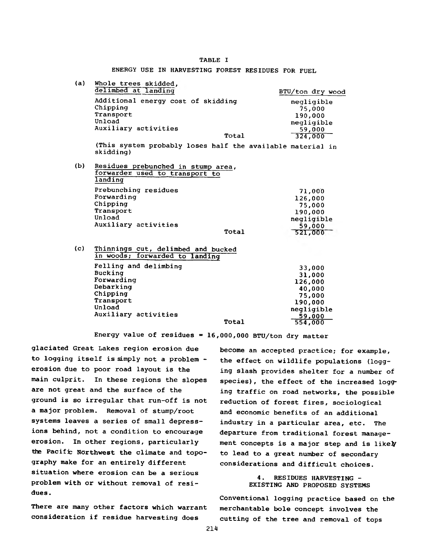### TABLE I

ENERGY USE IN HARVESTING FOREST RESIDUES FOR FUEL

| (a) | Whole trees skidded.<br>delimbed at landing                                     | BTU/ton dry wood                |
|-----|---------------------------------------------------------------------------------|---------------------------------|
|     | Additional energy cost of skidding<br>Chipping<br>Transport                     | negligible<br>75,000            |
|     | Unload<br>Auxiliary activities                                                  | 190,000<br>negligible<br>59,000 |
|     | Total                                                                           | 324,000                         |
|     | (This system probably loses half the available material in<br>skidding)         |                                 |
| (b) | Residues prebunched in stump area,<br>forwarder used to transport to<br>landing |                                 |
|     | Prebunching residues                                                            | 71,000                          |
|     | Forwarding                                                                      | 126,000                         |
|     | Chipping                                                                        | 75,000                          |
|     | Transport                                                                       | 190,000                         |
|     | Unload                                                                          | negligible                      |
|     | Auxiliary activities                                                            | 59,000                          |

| (c) | Thinnings cut, delimbed and bucked |
|-----|------------------------------------|
|     | in woods; forwarded to landing     |
|     | Felling and delimbing              |

| reiling and delimbing |       | 33,000     |
|-----------------------|-------|------------|
| Bucking               |       | 31,000     |
| Forwarding            |       | 126,000    |
| Debarking             |       | 40,000     |
| Chipping              |       | 75,000     |
| Transport             |       | 190,000    |
| Unload                |       | negligible |
| Auxiliary activities  |       | 59,000     |
|                       | Total | 554,000    |
|                       |       |            |

**Total**

**Energy value of residues = 16 ,000,000 BTU/ton dry matter**

**glaciated Great Lakes region erosion due to logging itself is simply not a problem erosion due to poor road layout is the main culprit. In these regions the slopes are not great and the surface of the ground is so irregular that run-off is not a major problem. Removal of stump/root systems leaves a series of small depressions behind, not a condition to encourage erosion. In other regions, particularly the Pacific Northwest the climate and topography make for an entirely different situation where erosion can be a serious problem with or without removal of residues .**

**There are many other factors which warrant consideration if residue harvesting does**

**become an accepted practice; for example, the effect on wildlife populations (logging slash provides shelter for a number of species), the effect of the increased logging traffic on road networks, the possible reduction of forest fires, sociological and economic benefits of an additional industry in a particular area, etc. The departure from traditional forest management concepts is a major step and is likety to lead to a great number of secondary considerations and difficult choices.**

521,000

## **4. RESIDUES HARVESTING - EXISTING AND PROPOSED SYSTEMS**

**Conventional logging practice based on the merchantable bole concept involves the cutting of the tree and removal of tops**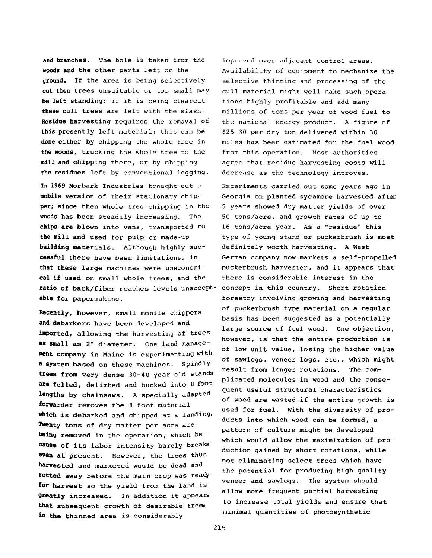and branches. The bole is taken from the woods and the other parts left on the ground. If the area is being selectively cut then trees unsuitable or too small may be left standing; if it is being clearcut these cull trees are left with the slash. Residue harvesting requires the removal of this presently left material; this can be done either by chipping the whole tree in the woods, trucking the whole tree to the miJl and chipping there, or by chipping the residues left by conventional logging.

**In 1969** Morbark Industries brought out a **mobile** version of their stationary chip' **per; since** then whole tree chipping in the **woods** has been steadily increasing. The **chips are** blown into vans, transported to **the mill and** used for pulp or made-up **building** materials. Although highly suc**cessful** there have been limitations, in **that these large** machines were uneconomi**cal if used** on small whole trees, and the **ratio of** bark/fiber reaches levels unaccept-concept in this country. Short rotation **able for** papermaking.

**Recently,** however, small mobile chippers **and debarkers** have been developed and **imported,** allowing the harvesting of trees **as small as** 2" diameter. One land manage**ment company** in Maine is experimenting with **a system** based on these machines. Spindly trees from very dense 30-40 year old stands **are felled,** delimbed and bucked into 8 foot **lengths by** chainsaws. A specially adapted **forwarder** removes the 8 foot material **which is** debarked and chipped at a landing. **Twenty** tons of dry matter per acre are **being removed** in the operation, which be**cause of** its labor intensity barely breaks **even at** present. However, the trees thus **harvested** and marketed would be dead and rotted away before the main crop was ready **ior harvest** so the yield from the land is **9reatly** increased. In addition it appears **that** subsequent growth of desirable trees **in the** thinned area is considerably

improved over adjacent control areas. Availability of equipment to mechanize the selective thinning and processing of the cull material might well make such operations highly profitable and add many millions of tons per year of wood fuel to the national energy product. A figure of \$25-30 per dry ton delivered within 30 miles has been estimated for the fuel wood from this operation. Most authorities agree that residue harvesting costs will decrease as the technology improves.

Experiments carried out some years ago in Georgia on planted sycamore harvested after 5 years showed dry matter yields of over 50 tons/acre, and growth rates of up to 16 tons/acre year. As a "residue" this type of young stand or puckerbrush is most definitely worth harvesting. A West German company now markets a self-propelled puckerbrush harvester, and it appears that there is considerable interest in the forestry involving growing and harvesting of puckerbrush type material on a regular basis has been suggested as a potentially large source of fuel wood. One objection, however, is that the entire production is of low unit value, losing the higher value of sawlogs, veneer logs, etc., which might result from longer rotations. The complicated molecules in wood and the consequent useful structural characteristics of wood are wasted if the entire growth is used for fuel. With the diversity of products into which wood can be formed, a pattern of culture might be developed which would allow the maximization of production gained by short rotations, while not eliminating select trees which have the potential for producing high quality veneer and sawlogs. The system should allow more frequent partial harvesting to increase total yields and ensure that minimal quantities of photosynthetic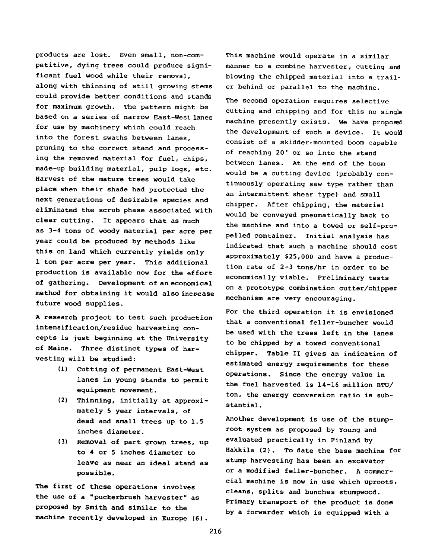**products are lost. Even small, non-competitive, dying trees could produce significant fuel wood while their removal, along with thinning of still growing stems could provide better conditions and stands for maximum growth. The pattern might be based on a series of narrow East-West lanes for use by machinery which could reach into the forest swaths between lanes, pruning to the correct stand and processing the removed material for fuel, chips, made-up building material, pulp logs, etc. Harvest of the mature trees would take place when their shade had protected the next generations of desirable species and eliminated the scrub phase associated with clear cutting. It appears that as much as 3-4 tons of woody material per acre per year could be produced by methods like this on land which currently yields only 1 ton per acre per year. This additional production is available now for the effort of gathering. Development of an economical method for obtaining it would also increase future wood supplies.**

**A research project to test such production intensification/residue harvesting concepts is just beginning at the University of Maine. Three distinct types of harvesting will be studied:**

- **(1) Cutting of permanent East-West lanes in young stands to permit equipment movement.**
- **(2) Thinning, initially at approximately 5 year intervals, of dead and small trees up to 1.5 inches diameter.**
- **(3) Removal of part grown trees, up to 4 or 5 inches diameter to leave as near an ideal stand as possible.**

**The first of these operations involves the use of a "puckerbrush harvester" as proposed by Smith and similar to the machine recently developed in Europe (6).**

**This machine would operate in a similar manner to a combine harvester, cutting and blowing the chipped material into a trailer behind or parallel to the machine.**

**The second operation requires selective cutting and chipping and for this no single machine presently exists. We have proposed the development of such a device. It would consist of a skidder-mounted boom capable of reaching 20' or so into the stand between lanes. At the end of the boom would be a cutting device (probably continuously operating saw type rather than an intermittent shear type) and small chipper. After chipping, the material would be conveyed pneumatically back to the machine and into a towed or self-propelled container. Initial analysis has indicated that such a machine should cost approximately \$25,000 and have a production rate of 2-3 tons/hr in order to be economically viable. Preliminary tests on a prototype combination cutter/chipper mechanism are very encouraging.**

**For the third operation it is envisioned that a conventional feller-buncher would be used with the trees left in the lanes to be chipped by a towed conventional chipper. Table II gives an indication of estimated energy requirements for these operations. Since the energy value in the fuel harvested is 14-16 million BTU/ ton, the energy conversion ratio is substantial .**

**Another development is use of the stumproot system as proposed by Young and evaluated practically in Finland by Hakkila (2). To date the base machine for stump harvesting has been an excavator or a modified feller-buncher. A commercial machine is now in use which uproots, cleans, splits and bunches stumpwood. Primary transport of the product is done by a forwarder which is equipped with a**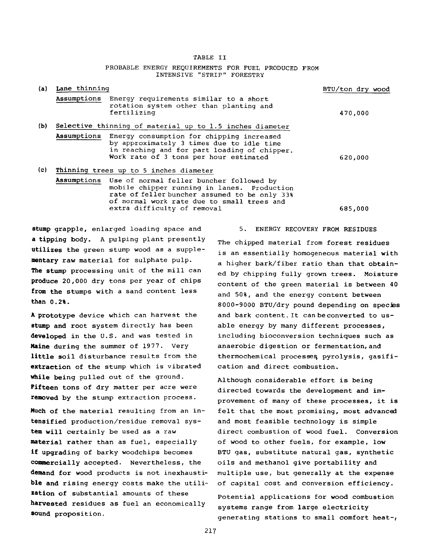TABLE II

#### PROBABLE ENERGY REQUIREMENTS FOR FUEL PRODUCED FROM INTENSIVE "STRIP" FORESTRY

| (a) | Lane thinning                                            |                                                                                                                                                                                                                                   | BTU/ton dry wood |
|-----|----------------------------------------------------------|-----------------------------------------------------------------------------------------------------------------------------------------------------------------------------------------------------------------------------------|------------------|
|     |                                                          | Assumptions Energy requirements similar to a short<br>rotation system other than planting and<br>fertilizing                                                                                                                      | 470,000          |
| (b) | Selective thinning of material up to 1.5 inches diameter |                                                                                                                                                                                                                                   |                  |
|     |                                                          | Assumptions Energy consumption for chipping increased<br>by approximately 3 times due to idle time<br>in reaching and for part loading of chipper.<br>Work rate of 3 tons per hour estimated                                      | 620,000          |
| (c) | Thinning trees up to 5 inches diameter                   |                                                                                                                                                                                                                                   |                  |
|     |                                                          | Assumptions Use of normal feller buncher followed by<br>mobile chipper running in lanes. Production<br>rate of feller buncher assumed to be only 33%<br>of normal work rate due to small trees and<br>extra difficulty of removal | 685,000          |

**stump grapple,** enlarged loading space and **a tipping** body. A pulping plant presently **utilizes the** green stump wood as a supple**mentary raw** material for sulphate pulp. **The stump** processing unit of the mill can **produce** 20,000 dry tons per year of chips **from the stumps** with a sand content less **than 0.2%.**

**A prototype** device which can harvest the **stump and** root system directly has been **developed in** the U.S. and was tested in **Maine during** the summer of 1977. Very **little soil** disturbance results from the **extraction** of the stump which is vibrated **while being** pulled out of the ground. **Fifteen** tons of dry matter per acre were **removed by** the stump extraction process.

**Much of** the material resulting from an in**tensified** production/residue removal sys**tem will** certainly be used as a raw **material** rather than as fuel, especially **if upgrading** of barky woodchips becomes **commercially** accepted. Nevertheless, the **demand for** wood products is not inexhausti**ble and** rising energy costs make the utili**zation of** substantial amounts of these **harvested** residues as fuel an economically **80und** proposition.

5. ENERGY RECOVERY FROM RESIDUES

The chipped material from forest residues is an essentially homogeneous material with a higher bark/fiber ratio than that obtained by chipping fully grown trees. Moisture content of the green material is between 40 and 50%, and the energy content between 8000-9000 BTU/dry pound depending on species and bark content.lt can be converted to usable energy by many different processes, including bioconversion techniques such as anaerobic digestion or fermentation,and thermochemical processes pyrolysis, gasification and direct combustion.

Although considerable effort is being directed towards the development and improvement of many of these processes, it is felt that the most promising, most advanced and most feasible technology is simple direct combustion of wood fuel. Conversion of wood to other fuels, for example, low BTU gas, substitute natural gas, synthetic oils and methanol give portability and multiple use, but generally at the expense of capital cost and conversion efficiency. Potential applications for wood combustion systems range from large electricity generating stations to small comfort heat-,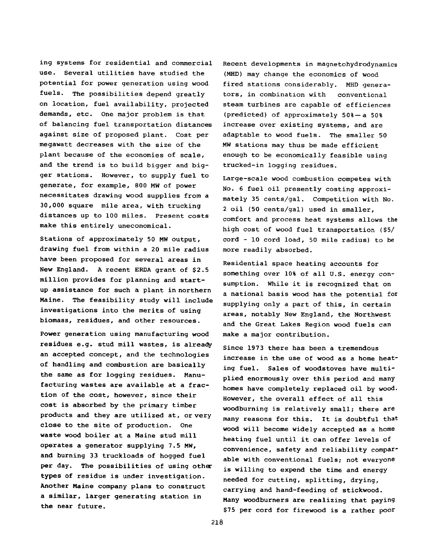**ing systems for residential and commercial use. Several utilities have studied the potential for power generation using wood fuels. The possibilities depend greatly on location, fuel availability, projected demands, etc. One major problem is that of balancing fuel transportation distances against size of proposed plant. Cost per megawatt decreases with the size of the plant because of the economies of scale, and the trend is to build bigger and bigger stations. However, to supply fuel to generate, for example, 800 MW of power necessitates drawing wood supplies from a 30,000 square mile area, with trucking distances up to 100 miles. Present costs make this entirely uneconomical.**

**Stations of approximately 50 MW output, drawing fuel from within a 20 mile radius have been proposed for several areas in New England. A recent ERDA grant of \$2.5 million provides for planning and startup assistance for such a plant in northern Maine. The feasibility study will include investigations into the merits of using biomass, residues, and other resources.**

**Power generation using manufacturing wood residues e.g. stud mill wastes, is already an accepted concept, and the technologies of handling and combustion are basically the same as for logging residues. Manufacturing wastes are available at a fraction of the cost, however, since their cost is absorbed by the primary timber products and they are utilized at, or very close to the site of production. One waste wood boiler at a Maine stud mill operates a generator supplying 7.5 MW, and burning 33 truckloads of hogged fuel per day. The possibilities of using other types of residue is under investigation. Another Maine company plans to construct a similar, larger generating station in the near future.**

**Recent developments in magnetohydrodynamics (MHD) may change the economics of wood fired stations considerably. MHD generators, in combination with conventional steam turbines are capable of efficiences (predicted) of approximately 50%— a 50% increase over existing systems, and are adaptable to wood fuels. The smaller 50 MW stations may thus be made efficient enough to be economically feasible using trucked-in logging residues.**

**Large-scale wood combustion competes with No. 6 fuel oil presently costing approximately 35 cents/gal. Competition with No. 2 oil (50 cents/gal) used in smaller, comfort and process heat systems allows the high cost of wood fuel transportation (\$5/ cord - 10 cord load, 50 mile radius) to be more readily absorbed.**

**Residential space heating accounts for something over 10% of all U.S. energy consumption. While it is recognized that on a national basis wood has the potential for supplying only a part of this, in certain areas, notably New England, the Northwest and the Great Lakes Region wood fuels can make a major contribution.**

**Since 1973 there has been a tremendous increase in the use of wood as a home heating fuel. Sales of woodstoves have multiplied enormously over this period and many homes have completely replaced oil by wood. However, the overall effect of all this woodburning is relatively small; there are many reasons for this. It is doubtful that wood will become widely accepted as a home heating fuel until it can offer levels of convenience, safety and reliability comparable with conventional fuels; not everyone is willing to expend the time and energy needed for cutting, splitting, drying, carrying and hand-feeding of stickwood. Many woodburners are realizing that paying \$75 per cord for firewood is a rather poor**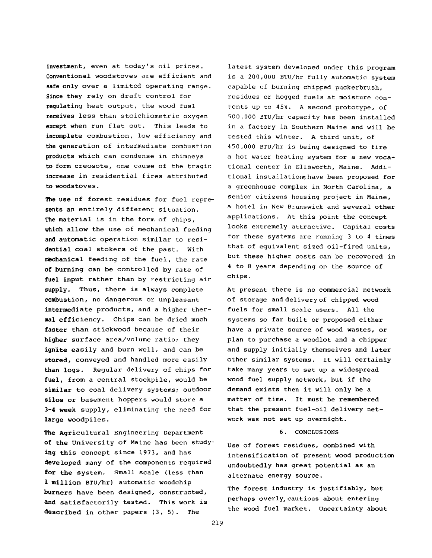investment, even at today's oil prices. Conventional woodstoves are efficient and safe only over a limited operating range. Since they rely on draft control for regulating heat output, the wood fuel receives less than stoichiometric oxygen except when run flat out. This leads to incomplete combustion, low efficiency and the generation of intermediate combustion products which can condense in chimneys to form creosote, one cause of the tragic increase in residential fires attributed to woodstoves.

**The use of** forest residues for fuel repre**sents** an entirely different situation. **The material** is in the form of chips, **which allow** the use of mechanical feeding **and automatic** operation similar to resi**dential** coal stokers of the past. With **mechanical** feeding of the fuel, the rate **of burning** can be controlled by rate of **fuel input** rather than by restricting air **supply.** Thus, there is always complete **combustion,** no dangerous or unpleasant **intermediate** products, and a higher ther**mal efficiency.** Chips can be dried much **faster** than stickwood because of their **higher** surface area/volume ratio; they **ignite easily** and burn well, and can be **stored,** conveyed and handled more easily **than logs.** Regular delivery of chips for **fuel, from** a central stockpile, would be **similar** to coal delivery systems; outdoor **silos or** basement hoppers would store a **3-4 week** supply, eliminating the need for large woodpiles.

**The** Agricultural Engineering Department **of the** University of Maine has been study**ing this** concept since 1973, and has **developed** many of the components required **for the** system. Small scale (less than **1 million** BTU/hr) automatic woodchip **burners** have been designed, constructed, **and** satisfactorily tested. This work is **described** in other papers (3, 5). The

latest system developed under this program is a 200,000 BTU/hr fully automatic system capable of burning chipped puckerbrush, residues or hogged fuels at moisture contents up to 45%. A second prototype, of 500.000 BTU/hr capacity has been installed in a factory in Southern Maine and will be tested this winter. A third unit, of 450.000 BTU/hr is being designed to fire a hot water heating system for a new vocational center in Ellsworth, Maine. Additional installations have been proposed for a greenhouse complex in North Carolina, a senior citizens housing project in Maine, a hotel in New Brunswick and several other applications. At this point the concept looks extremely attractive. Capital costs for these systems are running 3 to 4 times that of equivalent sized oil-fired units, but these higher costs can be recovered in **4** to 8 years depending on the source of chips.

At present there is no commercial network of storage and delivery of chipped wood fuels for small scale users. All the systems so far built or proposed either have a private source of wood wastes, or plan to purchase a woodlot and a chipper and supply initially themselves and later other similar systems. It will certainly take many years to set up a widespread wood fuel supply network, but if the demand exists then it will only be a matter of time. It must be remembered that the present fuel-oil delivery network was not set up overnight.

#### 6. CONCLUSIONS

Use of forest residues, combined with intensification of present wood production undoubtedly has great potential as an alternate energy source.

The forest industry is justifiably, but perhaps overly, cautious about entering the wood fuel market. Uncertainty about